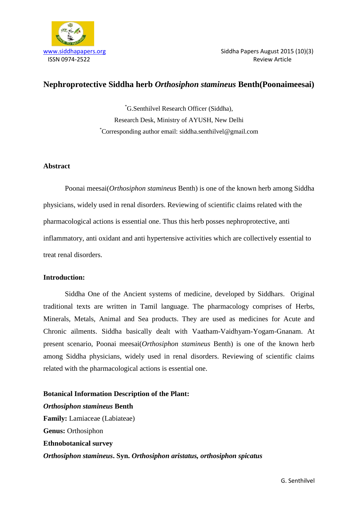

# **Nephroprotective Siddha herb** *Orthosiphon stamineus* **Benth(Poonaimeesai)**

\*G.Senthilvel Research Officer (Siddha), Research Desk, Ministry of AYUSH, New Delhi \*Corresponding author email: siddha.senthilvel@gmail.com

# **Abstract**

Poonai meesai(*Orthosiphon stamineus* Benth) is one of the known herb among Siddha physicians, widely used in renal disorders. Reviewing of scientific claims related with the pharmacological actions is essential one. Thus this herb posses nephroprotective, anti inflammatory, anti oxidant and anti hypertensive activities which are collectively essential to treat renal disorders.

# **Introduction:**

Siddha One of the Ancient systems of medicine, developed by Siddhars. Original traditional texts are written in Tamil language. The pharmacology comprises of Herbs, Minerals, Metals, Animal and Sea products. They are used as medicines for Acute and Chronic ailments. Siddha basically dealt with Vaatham-Vaidhyam-Yogam-Gnanam. At present scenario, Poonai meesai(*Orthosiphon stamineus* Benth) is one of the known herb among Siddha physicians, widely used in renal disorders. Reviewing of scientific claims related with the pharmacological actions is essential one.

**Botanical Information Description of the Plant:** *Orthosiphon stamineus* **Benth Family:** Lamiaceae (Labiateae) **Genus:** Orthosiphon **Ethnobotanical survey** *Orthosiphon stamineus***. Syn.** *Orthosiphon aristatus, orthosiphon spicatus*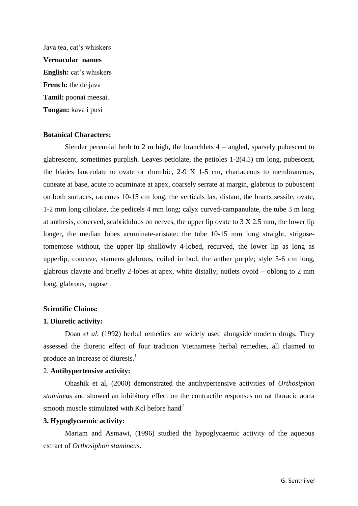Java tea, cat's whiskers **Vernacular names English:** cat's whiskers **French:** the de java **Tamil:** poonai meesai. **Tongan:** kava i pusi

#### **Botanical Characters:**

Slender perennial herb to 2 m high, the branchlets  $4$  – angled, sparsely pubescent to glabrescent, sometimes purplish. Leaves petiolate, the petioles 1-2(4.5) cm long, pubescent, the blades lanceolate to ovate or rhombic, 2-9 X 1-5 cm, chartaceous to membraneous, cuneate at base, acute to acuminate at apex, coarsely serrate at margin, glabrous to pubuscent on both surfaces, racemes 10-15 cm long, the verticals lax, distant, the bracts sessile, ovate, 1-2 mm long ciliolate, the pedicels 4 mm long; calyx curved-campanulate, the tube 3 m long at anthesis, conerved, scabridulous on nerves, the upper lip ovate to 3 X 2.5 mm, the lower lip longer, the median lobes acuminate-aristate: the tube 10-15 mm long straight, strigosetomentose without, the upper lip shallowly 4-lobed, recurved, the lower lip as long as upperlip, concave, stamens glabrous, coiled in bud, the anther purple; style 5-6 cm long, glabrous clavate and briefly 2-lobes at apex, white distally; nutlets ovoid – oblong to 2 mm long, glabrous, rugose .

#### **Scientific Claims:**

#### **1. Diuretic activity:**

Doan *et al*. (1992) herbal remedies are widely used alongside modern drugs. They assessed the diuretic effect of four tradition Vietnamese herbal remedies, all claimed to produce an increase of diuresis.<sup>1</sup>

#### 2. **Antihypertensive activity:**

Ohashik et al, (2000) demonstrated the antihypertensive activities of *Orthosiphon stamineus* and showed an inhibitory effect on the contractile responses on rat thoracic aorta smooth muscle stimulated with Kcl before hand<sup>2</sup>

## **3. Hypoglycaemic activity:**

Mariam and Asmawi, (1996) studied the hypoglycaemic activity of the aqueous extract of *Orthosiphon stamineus*.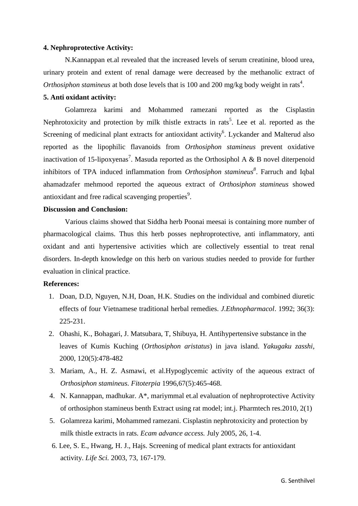#### **4. Nephroprotective Activity:**

N.Kannappan et.al revealed that the increased levels of serum creatinine, blood urea, urinary protein and extent of renal damage were decreased by the methanolic extract of Orthosiphon stamineus at both dose levels that is 100 and 200 mg/kg body weight in rats<sup>4</sup>.

## **5. Anti oxidant activity:**

Golamreza karimi and Mohammed ramezani reported as the Cisplastin Nephrotoxicity and protection by milk thistle extracts in rats<sup>5</sup>. Lee et al. reported as the Screening of medicinal plant extracts for antioxidant activity<sup>6</sup>. Lyckander and Malterud also reported as the lipophilic flavanoids from *Orthosiphon stamineus* prevent oxidative inactivation of 15-lipoxyenas<sup>7</sup>. Masuda reported as the Orthosiphol A & B novel diterpenoid inhibitors of TPA induced inflammation from *Orthosiphon stamineus<sup>8</sup>* . Farruch and Iqbal ahamadzafer mehmood reported the aqueous extract of *Orthosiphon stamineus* showed antioxidant and free radical scavenging properties<sup>9</sup>.

### **Discussion and Conclusion:**

Various claims showed that Siddha herb Poonai meesai is containing more number of pharmacological claims. Thus this herb posses nephroprotective, anti inflammatory, anti oxidant and anti hypertensive activities which are collectively essential to treat renal disorders. In-depth knowledge on this herb on various studies needed to provide for further evaluation in clinical practice.

### **References:**

- 1. Doan, D.D, Nguyen, N.H, Doan, H.K. Studies on the individual and combined diuretic effects of four Vietnamese traditional herbal remedies. *J.Ethnopharmacol*. 1992; 36(3): 225-231.
- 2. Ohashi, K., Bohagari, J. Matsubara, T, Shibuya, H. Antihypertensive substance in the leaves of Kumis Kuching (*Orthosiphon aristatus*) in java island. *Yakugaku zasshi,*  2000, 120(5):478-482
- 3. Mariam, A., H. Z. Asmawi, et al.Hypoglycemic activity of the aqueous extract of *Orthosiphon stamineus. Fitoterpia* 1996,67(5):465-468.
- 4. N. Kannappan, madhukar. A\*, mariymmal et.al evaluation of nephroprotective Activity of orthosiphon stamineus benth Extract using rat model; int.j. Pharmtech res.2010, 2(1)
- 5. Golamreza karimi, Mohammed ramezani. Cisplastin nephrotoxicity and protection by milk thistle extracts in rats. *Ecam advance access.* July 2005, 26, 1-4.
- 6. Lee, S. E., Hwang, H. J., Hajs. Screening of medical plant extracts for antioxidant activity. *Life Sci.* 2003, 73, 167-179.